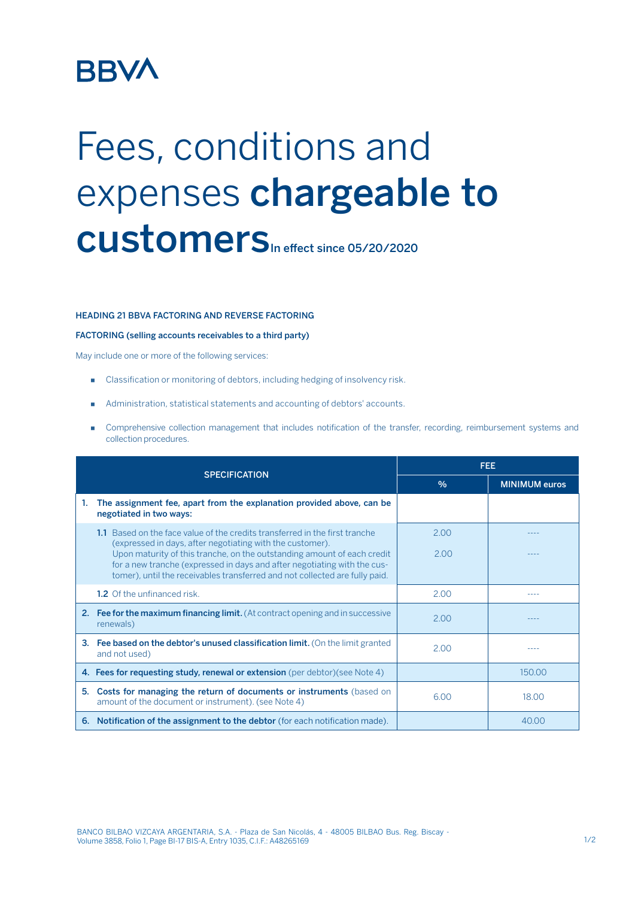# **BBVA**

# Fees, conditions and expenses chargeable to CUStomers<sub>In effect since 05/20/2020</sub>

### HEADING 21 BBVA FACTORING AND REVERSE FACTORING

#### FACTORING (selling accounts receivables to a third party)

May include one or more of the following services:

- Classification or monitoring of debtors, including hedging of insolvency risk.
- Administration, statistical statements and accounting of debtors' accounts.
- Comprehensive collection management that includes notification of the transfer, recording, reimbursement systems and collection procedures.

|                      |                                                                                                                                                                                                                                                                                                                                                                                | <b>FEE</b>    |                      |
|----------------------|--------------------------------------------------------------------------------------------------------------------------------------------------------------------------------------------------------------------------------------------------------------------------------------------------------------------------------------------------------------------------------|---------------|----------------------|
| <b>SPECIFICATION</b> |                                                                                                                                                                                                                                                                                                                                                                                | $\frac{0}{0}$ | <b>MINIMUM euros</b> |
| 1.                   | The assignment fee, apart from the explanation provided above, can be<br>negotiated in two ways:                                                                                                                                                                                                                                                                               |               |                      |
|                      | 1.1 Based on the face value of the credits transferred in the first tranche<br>(expressed in days, after negotiating with the customer).<br>Upon maturity of this tranche, on the outstanding amount of each credit<br>for a new tranche (expressed in days and after negotiating with the cus-<br>tomer), until the receivables transferred and not collected are fully paid. | 2.00<br>2.00  |                      |
|                      | <b>1.2</b> Of the unfinanced risk.                                                                                                                                                                                                                                                                                                                                             | 2.00          |                      |
|                      | <b>2. Fee for the maximum financing limit.</b> (At contract opening and in successive<br>renewals)                                                                                                                                                                                                                                                                             | 2.00          |                      |
| 3.                   | Fee based on the debtor's unused classification limit. (On the limit granted<br>and not used)                                                                                                                                                                                                                                                                                  | 2.00          |                      |
|                      | 4. Fees for requesting study, renewal or extension (per debtor) (see Note 4)                                                                                                                                                                                                                                                                                                   |               | 150.00               |
| 5.                   | Costs for managing the return of documents or instruments (based on<br>amount of the document or instrument). (see Note 4)                                                                                                                                                                                                                                                     | 6.00          | 18.00                |
| 6.                   | <b>Notification of the assignment to the debtor</b> (for each notification made).                                                                                                                                                                                                                                                                                              |               | 40.00                |